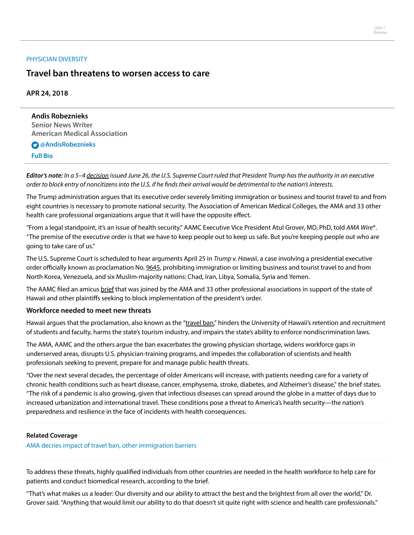#### [PHYSICIAN](https://www.ama-assn.org/practice-management/physician-diversity) DIVERSITY

# **Travel ban threatens to worsen access to care**

## **APR 24, 2018**

**Andis Robeznieks Senior News Writer American Medical Association**

## **[@AndisRobeznieks](https://twitter.com/AndisRobeznieks)**

**[Full](https://www.ama-assn.org/news-leadership-viewpoints/authors-news-leadership-viewpoints/andis-robeznieks) Bio**

**Editor's note:** In a 5–4 [decision](https://www.supremecourt.gov/opinions/17pdf/17-965_h315.pdf) issued June 26, the U.S. Supreme Court ruled that President Trump hasthe authority in an executive order to block entry of noncitizens into the U.S. if he finds their arrival would be detrimental to the nation's interests.

The Trump administration argues that its executive order severely limiting immigration or business and tourist travel to and from eight countries is necessary to promote national security. The Association of American Medical Colleges, the AMA and 33 other health care professional organizations argue that it will have the opposite effect.

"From a legal standpoint, it's an issue of health security," AAMC Executive Vice President Atul Grover, MD, PhD, told AMA Wire®. "The premise of the executive order is that we have to keep people out to keep us safe. But you're keeping people out who are going to take care of us."

The U.S. Supreme Court is scheduled to hear arguments April 25 in Trump v. Hawaii, a case involving a presidential executive order officially known as proclamation No. [9645,](https://www.federalregister.gov/documents/2017/09/27/2017-20899/enhancing-vetting-capabilities-and-processes-for-detecting-attempted-entry-into-the-united-states-by) prohibiting immigration or limiting business and tourist travel to and from North Korea, Venezuela, and six Muslim-majority nations: Chad, Iran, Libya, Somalia, Syria and Yemen.

The AAMC filed an amicus [brief](https://www.supremecourt.gov/DocketPDF/17/17-965/40128/20180327105855912_17-965%20Amicus%20Br.%20Proclamation.pdf) that was joined by the AMA and 33 other professional associations in support of the state of Hawaii and other plaintiffs seeking to block implementation of the president's order.

## **Workforce needed to meet new threats**

Hawaii argues that the proclamation, also known as the ["travel](https://www.ama-assn.org/practice-management/physician-diversity/confusion-remains-travel-bans-scope-implementation) ban," hinders the University of Hawaii's retention and recruitment of students and faculty, harms the state's tourism industry, and impairs the state's ability to enforce nondiscrimination laws.

The AMA, AAMC and the others argue the ban exacerbates the growing physician shortage, widens workforce gaps in underserved areas, disrupts U.S. physician-training programs, and impedes the collaboration of scientists and health professionals seeking to prevent, prepare for and manage public health threats.

"Over the next several decades, the percentage of older Americans will increase, with patients needing care for a variety of chronic health conditions such as heart disease, cancer, emphysema, stroke, diabetes, and Alzheimer's disease," the brief states. "The risk of a pandemic is also growing, given that infectious diseases can spread around the globe in a matter of days due to increased urbanization and international travel. These conditions pose a threat to America's health security—the nation's preparedness and resilience in the face of incidents with health consequences.

#### **Related Coverage**

AMA decries impact of travel ban, other [immigration](https://www.ama-assn.org/education/international-medical-education/ama-decries-impact-travel-ban-other-immigration-barriers) barriers

To address these threats, highly qualified individuals from other countries are needed in the health workforce to help care for patients and conduct biomedical research, according to the brief.

"That's what makes us a leader: Our diversity and our ability to attract the best and the brightest from all over the world," Dr. Grover said. "Anything that would limit our ability to do that doesn't sit quite right with science and health care professionals."